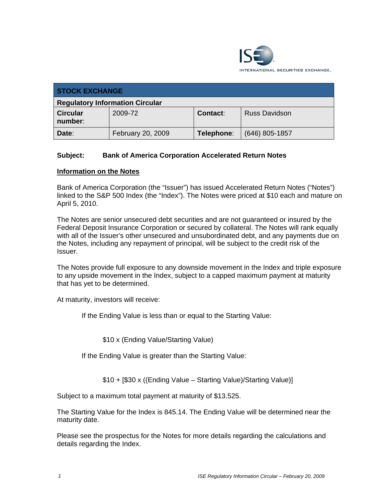

| <b>STOCK EXCHANGE</b>                  |                   |            |                      |
|----------------------------------------|-------------------|------------|----------------------|
| <b>Regulatory Information Circular</b> |                   |            |                      |
| <b>Circular</b><br>number:             | 2009-72           | Contact:   | <b>Russ Davidson</b> |
| Date:                                  | February 20, 2009 | Telephone: | $(646)$ 805-1857     |

## **Subject: Bank of America Corporation Accelerated Return Notes**

#### **Information on the Notes**

Bank of America Corporation (the "Issuer") has issued Accelerated Return Notes ("Notes") linked to the S&P 500 Index (the "Index"). The Notes were priced at \$10 each and mature on April 5, 2010.

The Notes are senior unsecured debt securities and are not guaranteed or insured by the Federal Deposit Insurance Corporation or secured by collateral. The Notes will rank equally with all of the Issuer's other unsecured and unsubordinated debt, and any payments due on the Notes, including any repayment of principal, will be subject to the credit risk of the Issuer.

The Notes provide full exposure to any downside movement in the Index and triple exposure to any upside movement in the Index, subject to a capped maximum payment at maturity that has yet to be determined.

At maturity, investors will receive:

If the Ending Value is less than or equal to the Starting Value:

\$10 x (Ending Value/Starting Value)

If the Ending Value is greater than the Starting Value:

\$10 + [\$30 x ((Ending Value – Starting Value)/Starting Value)]

Subject to a maximum total payment at maturity of \$13.525.

The Starting Value for the Index is 845.14. The Ending Value will be determined near the maturity date.

Please see the prospectus for the Notes for more details regarding the calculations and details regarding the Index.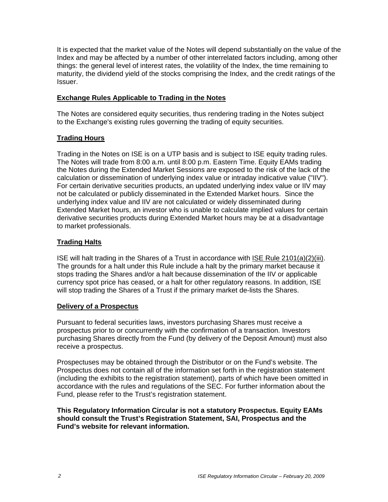It is expected that the market value of the Notes will depend substantially on the value of the Index and may be affected by a number of other interrelated factors including, among other things: the general level of interest rates, the volatility of the Index, the time remaining to maturity, the dividend yield of the stocks comprising the Index, and the credit ratings of the Issuer.

## **Exchange Rules Applicable to Trading in the Notes**

The Notes are considered equity securities, thus rendering trading in the Notes subject to the Exchange's existing rules governing the trading of equity securities.

## **Trading Hours**

Trading in the Notes on ISE is on a UTP basis and is subject to ISE equity trading rules. The Notes will trade from 8:00 a.m. until 8:00 p.m. Eastern Time. Equity EAMs trading the Notes during the Extended Market Sessions are exposed to the risk of the lack of the calculation or dissemination of underlying index value or intraday indicative value ("IIV"). For certain derivative securities products, an updated underlying index value or IIV may not be calculated or publicly disseminated in the Extended Market hours. Since the underlying index value and IIV are not calculated or widely disseminated during Extended Market hours, an investor who is unable to calculate implied values for certain derivative securities products during Extended Market hours may be at a disadvantage to market professionals.

## **Trading Halts**

ISE will halt trading in the Shares of a Trust in accordance with ISE Rule 2101(a)(2)(iii). The grounds for a halt under this Rule include a halt by the primary market because it stops trading the Shares and/or a halt because dissemination of the IIV or applicable currency spot price has ceased, or a halt for other regulatory reasons. In addition, ISE will stop trading the Shares of a Trust if the primary market de-lists the Shares.

## **Delivery of a Prospectus**

Pursuant to federal securities laws, investors purchasing Shares must receive a prospectus prior to or concurrently with the confirmation of a transaction. Investors purchasing Shares directly from the Fund (by delivery of the Deposit Amount) must also receive a prospectus.

Prospectuses may be obtained through the Distributor or on the Fund's website. The Prospectus does not contain all of the information set forth in the registration statement (including the exhibits to the registration statement), parts of which have been omitted in accordance with the rules and regulations of the SEC. For further information about the Fund, please refer to the Trust's registration statement.

**This Regulatory Information Circular is not a statutory Prospectus. Equity EAMs should consult the Trust's Registration Statement, SAI, Prospectus and the Fund's website for relevant information.**